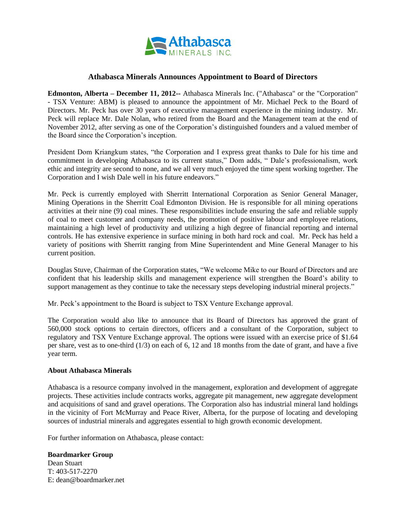

## **Athabasca Minerals Announces Appointment to Board of Directors**

**Edmonton, Alberta – December 11, 2012--** Athabasca Minerals Inc. ("Athabasca" or the "Corporation" - TSX Venture: ABM) is pleased to announce the appointment of Mr. Michael Peck to the Board of Directors. Mr. Peck has over 30 years of executive management experience in the mining industry. Mr. Peck will replace Mr. Dale Nolan, who retired from the Board and the Management team at the end of November 2012, after serving as one of the Corporation's distinguished founders and a valued member of the Board since the Corporation's inception.

President Dom Kriangkum states, "the Corporation and I express great thanks to Dale for his time and commitment in developing Athabasca to its current status," Dom adds, " Dale's professionalism, work ethic and integrity are second to none, and we all very much enjoyed the time spent working together. The Corporation and I wish Dale well in his future endeavors."

Mr. Peck is currently employed with Sherritt International Corporation as Senior General Manager, Mining Operations in the Sherritt Coal Edmonton Division. He is responsible for all mining operations activities at their nine (9) coal mines. These responsibilities include ensuring the safe and reliable supply of coal to meet customer and company needs, the promotion of positive labour and employee relations, maintaining a high level of productivity and utilizing a high degree of financial reporting and internal controls. He has extensive experience in surface mining in both hard rock and coal. Mr. Peck has held a variety of positions with Sherritt ranging from Mine Superintendent and Mine General Manager to his current position.

Douglas Stuve, Chairman of the Corporation states, "We welcome Mike to our Board of Directors and are confident that his leadership skills and management experience will strengthen the Board's ability to support management as they continue to take the necessary steps developing industrial mineral projects."

Mr. Peck's appointment to the Board is subject to TSX Venture Exchange approval.

The Corporation would also like to announce that its Board of Directors has approved the grant of 560,000 stock options to certain directors, officers and a consultant of the Corporation, subject to regulatory and TSX Venture Exchange approval. The options were issued with an exercise price of \$1.64 per share, vest as to one-third (1/3) on each of 6, 12 and 18 months from the date of grant, and have a five year term.

## **About Athabasca Minerals**

Athabasca is a resource company involved in the management, exploration and development of aggregate projects. These activities include contracts works, aggregate pit management, new aggregate development and acquisitions of sand and gravel operations. The Corporation also has industrial mineral land holdings in the vicinity of Fort McMurray and Peace River, Alberta, for the purpose of locating and developing sources of industrial minerals and aggregates essential to high growth economic development.

For further information on Athabasca, please contact:

## **Boardmarker Group** Dean Stuart

T: 403-517-2270 E: dean@boardmarker.net